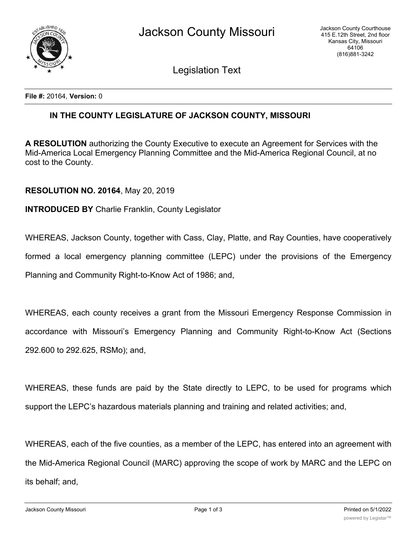

Legislation Text

**File #:** 20164, **Version:** 0

## **IN THE COUNTY LEGISLATURE OF JACKSON COUNTY, MISSOURI**

**A RESOLUTION** authorizing the County Executive to execute an Agreement for Services with the Mid-America Local Emergency Planning Committee and the Mid-America Regional Council, at no cost to the County.

## **RESOLUTION NO. 20164**, May 20, 2019

## **INTRODUCED BY** Charlie Franklin, County Legislator

WHEREAS, Jackson County, together with Cass, Clay, Platte, and Ray Counties, have cooperatively

formed a local emergency planning committee (LEPC) under the provisions of the Emergency

Planning and Community Right-to-Know Act of 1986; and,

WHEREAS, each county receives a grant from the Missouri Emergency Response Commission in accordance with Missouri's Emergency Planning and Community Right-to-Know Act (Sections 292.600 to 292.625, RSMo); and,

WHEREAS, these funds are paid by the State directly to LEPC, to be used for programs which support the LEPC's hazardous materials planning and training and related activities; and,

WHEREAS, each of the five counties, as a member of the LEPC, has entered into an agreement with the Mid-America Regional Council (MARC) approving the scope of work by MARC and the LEPC on its behalf; and,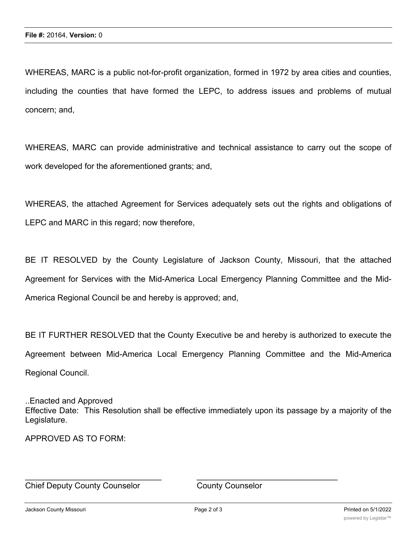WHEREAS, MARC is a public not-for-profit organization, formed in 1972 by area cities and counties, including the counties that have formed the LEPC, to address issues and problems of mutual concern; and,

WHEREAS, MARC can provide administrative and technical assistance to carry out the scope of work developed for the aforementioned grants; and,

WHEREAS, the attached Agreement for Services adequately sets out the rights and obligations of LEPC and MARC in this regard; now therefore,

BE IT RESOLVED by the County Legislature of Jackson County, Missouri, that the attached Agreement for Services with the Mid-America Local Emergency Planning Committee and the Mid-America Regional Council be and hereby is approved; and,

BE IT FURTHER RESOLVED that the County Executive be and hereby is authorized to execute the Agreement between Mid-America Local Emergency Planning Committee and the Mid-America Regional Council.

..Enacted and Approved Effective Date: This Resolution shall be effective immediately upon its passage by a majority of the Legislature.

APPROVED AS TO FORM:

Chief Deputy County Counselor County Counselor

 $\_$  , and the contribution of the contribution of  $\overline{a}$  , and  $\overline{a}$  , and  $\overline{a}$  , and  $\overline{a}$  , and  $\overline{a}$